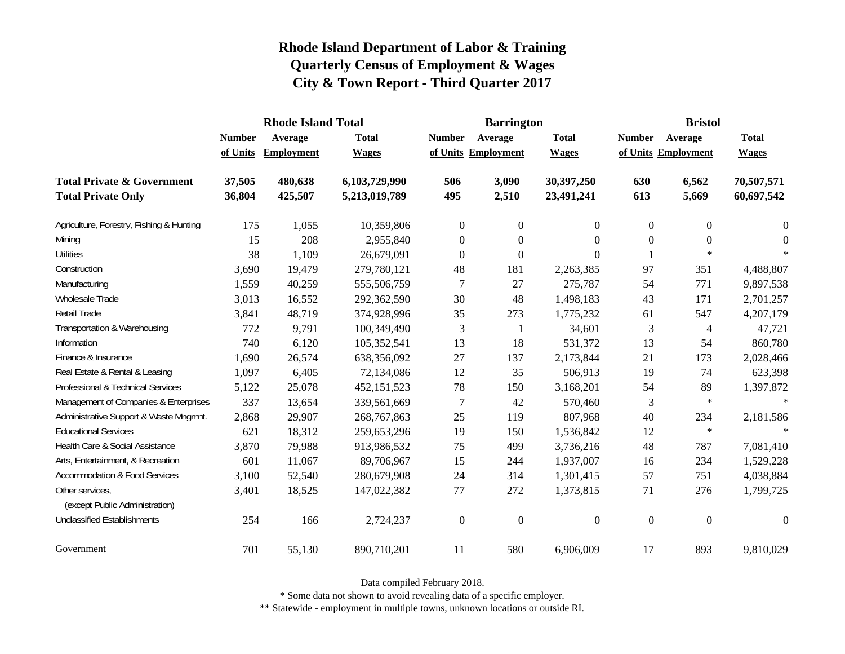|                                                   |               | <b>Rhode Island Total</b> |               |                     | <b>Barrington</b> |                  | <b>Bristol</b>   |                     |                  |  |
|---------------------------------------------------|---------------|---------------------------|---------------|---------------------|-------------------|------------------|------------------|---------------------|------------------|--|
|                                                   | <b>Number</b> | Average                   | <b>Total</b>  | <b>Number</b>       | Average           | <b>Total</b>     | <b>Number</b>    | Average             | <b>Total</b>     |  |
|                                                   | of Units      | Employment                | <b>Wages</b>  | of Units Employment |                   | <b>Wages</b>     |                  | of Units Employment | <b>Wages</b>     |  |
| <b>Total Private &amp; Government</b>             | 37,505        | 480,638                   | 6,103,729,990 | 506                 | 3,090             | 30,397,250       | 630              | 6,562               | 70,507,571       |  |
| <b>Total Private Only</b>                         | 36,804        | 425,507                   | 5,213,019,789 | 495                 | 2,510             | 23,491,241       | 613              | 5,669               | 60,697,542       |  |
| Agriculture, Forestry, Fishing & Hunting          | 175           | 1,055                     | 10,359,806    | $\boldsymbol{0}$    | $\overline{0}$    | $\overline{0}$   | $\boldsymbol{0}$ | $\boldsymbol{0}$    | $\boldsymbol{0}$ |  |
| Mining                                            | 15            | 208                       | 2,955,840     | $\boldsymbol{0}$    | $\theta$          | $\Omega$         | $\boldsymbol{0}$ | $\overline{0}$      | $\Omega$         |  |
| <b>Utilities</b>                                  | 38            | 1,109                     | 26,679,091    | $\boldsymbol{0}$    | $\boldsymbol{0}$  | $\Omega$         |                  | $\ast$              | $\ast$           |  |
| Construction                                      | 3,690         | 19,479                    | 279,780,121   | 48                  | 181               | 2,263,385        | 97               | 351                 | 4,488,807        |  |
| Manufacturing                                     | 1,559         | 40,259                    | 555,506,759   | 7                   | 27                | 275,787          | 54               | 771                 | 9,897,538        |  |
| Wholesale Trade                                   | 3,013         | 16,552                    | 292,362,590   | 30                  | 48                | 1,498,183        | 43               | 171                 | 2,701,257        |  |
| Retail Trade                                      | 3,841         | 48,719                    | 374,928,996   | 35                  | 273               | 1,775,232        | 61               | 547                 | 4,207,179        |  |
| Transportation & Warehousing                      | 772           | 9,791                     | 100,349,490   | $\mathfrak{Z}$      | 1                 | 34,601           | $\mathfrak{Z}$   | 4                   | 47,721           |  |
| Information                                       | 740           | 6,120                     | 105,352,541   | 13                  | 18                | 531,372          | 13               | 54                  | 860,780          |  |
| Finance & Insurance                               | 1,690         | 26,574                    | 638,356,092   | 27                  | 137               | 2,173,844        | 21               | 173                 | 2,028,466        |  |
| Real Estate & Rental & Leasing                    | 1,097         | 6,405                     | 72,134,086    | 12                  | 35                | 506,913          | 19               | 74                  | 623,398          |  |
| Professional & Technical Services                 | 5,122         | 25,078                    | 452,151,523   | 78                  | 150               | 3,168,201        | 54               | 89                  | 1,397,872        |  |
| Management of Companies & Enterprises             | 337           | 13,654                    | 339,561,669   | 7                   | 42                | 570,460          | 3                | $\ast$              | $\ast$           |  |
| Administrative Support & Waste Mngmnt.            | 2,868         | 29,907                    | 268,767,863   | 25                  | 119               | 807,968          | 40               | 234                 | 2,181,586        |  |
| <b>Educational Services</b>                       | 621           | 18,312                    | 259,653,296   | 19                  | 150               | 1,536,842        | 12               | $\ast$              | $\ast$           |  |
| Health Care & Social Assistance                   | 3,870         | 79,988                    | 913,986,532   | 75                  | 499               | 3,736,216        | 48               | 787                 | 7,081,410        |  |
| Arts, Entertainment, & Recreation                 | 601           | 11,067                    | 89,706,967    | 15                  | 244               | 1,937,007        | 16               | 234                 | 1,529,228        |  |
| <b>Accommodation &amp; Food Services</b>          | 3,100         | 52,540                    | 280,679,908   | 24                  | 314               | 1,301,415        | 57               | 751                 | 4,038,884        |  |
| Other services,<br>(except Public Administration) | 3,401         | 18,525                    | 147,022,382   | 77                  | 272               | 1,373,815        | 71               | 276                 | 1,799,725        |  |
| <b>Unclassified Establishments</b>                | 254           | 166                       | 2,724,237     | $\boldsymbol{0}$    | $\boldsymbol{0}$  | $\boldsymbol{0}$ | $\boldsymbol{0}$ | $\boldsymbol{0}$    | $\mathbf{0}$     |  |
| Government                                        | 701           | 55,130                    | 890,710,201   | 11                  | 580               | 6,906,009        | 17               | 893                 | 9,810,029        |  |

Data compiled February 2018.

\* Some data not shown to avoid revealing data of a specific employer.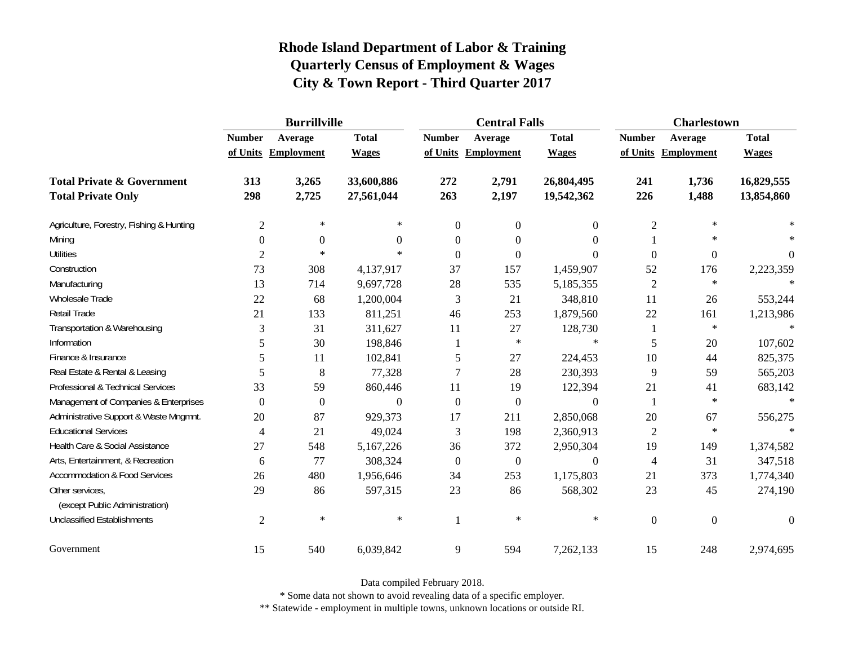|                                          | <b>Burrillville</b> |                     |              |               | <b>Central Falls</b> |                | <b>Charlestown</b> |                     |                |
|------------------------------------------|---------------------|---------------------|--------------|---------------|----------------------|----------------|--------------------|---------------------|----------------|
|                                          | <b>Number</b>       | Average             | <b>Total</b> | <b>Number</b> | Average              | <b>Total</b>   | <b>Number</b>      | Average             | <b>Total</b>   |
|                                          |                     | of Units Employment | <b>Wages</b> |               | of Units Employment  | <b>Wages</b>   |                    | of Units Employment | <b>Wages</b>   |
| <b>Total Private &amp; Government</b>    | 313                 | 3,265               | 33,600,886   | 272           | 2,791                | 26,804,495     | 241                | 1,736               | 16,829,555     |
| <b>Total Private Only</b>                | 298                 | 2,725               | 27,561,044   | 263           | 2,197                | 19,542,362     | 226                | 1,488               | 13,854,860     |
| Agriculture, Forestry, Fishing & Hunting | $\overline{2}$      | $\ast$              | $\ast$       | $\theta$      | $\overline{0}$       | $\mathbf{0}$   | $\overline{c}$     | ∗                   |                |
| Mining                                   | $\Omega$            | $\boldsymbol{0}$    | $\Omega$     | $\Omega$      | $\Omega$             | $\Omega$       |                    | ∗                   |                |
| <b>Utilities</b>                         | $\overline{2}$      | $\ast$              | $\ast$       | $\Omega$      | $\theta$             | $\Omega$       | $\boldsymbol{0}$   | $\boldsymbol{0}$    | $\overline{0}$ |
| Construction                             | 73                  | 308                 | 4,137,917    | 37            | 157                  | 1,459,907      | 52                 | 176                 | 2,223,359      |
| Manufacturing                            | 13                  | 714                 | 9,697,728    | 28            | 535                  | 5,185,355      | $\mathfrak{2}$     | $\ast$              |                |
| Wholesale Trade                          | 22                  | 68                  | 1,200,004    | 3             | 21                   | 348,810        | 11                 | 26                  | 553,244        |
| Retail Trade                             | 21                  | 133                 | 811,251      | 46            | 253                  | 1,879,560      | $22\,$             | 161                 | 1,213,986      |
| Transportation & Warehousing             | 3                   | 31                  | 311,627      | 11            | 27                   | 128,730        | $\mathbf{1}$       | $\ast$              | $\ast$         |
| Information                              | 5                   | 30                  | 198,846      |               | $\ast$               | $\ast$         | 5                  | 20                  | 107,602        |
| Finance & Insurance                      | 5                   | 11                  | 102,841      | 5             | 27                   | 224,453        | 10                 | 44                  | 825,375        |
| Real Estate & Rental & Leasing           | 5                   | 8                   | 77,328       | 7             | 28                   | 230,393        | 9                  | 59                  | 565,203        |
| Professional & Technical Services        | 33                  | 59                  | 860,446      | 11            | 19                   | 122,394        | 21                 | 41                  | 683,142        |
| Management of Companies & Enterprises    | $\Omega$            | $\overline{0}$      | $\Omega$     | $\theta$      | $\overline{0}$       | $\Omega$       | $\mathbf{1}$       | $\ast$              | $\ast$         |
| Administrative Support & Waste Mngmnt.   | 20                  | 87                  | 929,373      | 17            | 211                  | 2,850,068      | 20                 | 67                  | 556,275        |
| <b>Educational Services</b>              | 4                   | 21                  | 49,024       | 3             | 198                  | 2,360,913      | $\mathfrak{2}$     | $\ast$              |                |
| Health Care & Social Assistance          | 27                  | 548                 | 5,167,226    | 36            | 372                  | 2,950,304      | 19                 | 149                 | 1,374,582      |
| Arts, Entertainment, & Recreation        | 6                   | 77                  | 308,324      | $\theta$      | $\boldsymbol{0}$     | $\overline{0}$ | 4                  | 31                  | 347,518        |
| <b>Accommodation &amp; Food Services</b> | 26                  | 480                 | 1,956,646    | 34            | 253                  | 1,175,803      | 21                 | 373                 | 1,774,340      |
| Other services,                          | 29                  | 86                  | 597,315      | 23            | 86                   | 568,302        | 23                 | 45                  | 274,190        |
| (except Public Administration)           |                     |                     |              |               |                      |                |                    |                     |                |
| <b>Unclassified Establishments</b>       | $\mathfrak{2}$      | $\ast$              | $\ast$       | $\mathbf{1}$  | $\ast$               | $\ast$         | $\mathbf{0}$       | $\boldsymbol{0}$    | $\mathbf{0}$   |
| Government                               | 15                  | 540                 | 6,039,842    | 9             | 594                  | 7,262,133      | 15                 | 248                 | 2,974,695      |

Data compiled February 2018.

\* Some data not shown to avoid revealing data of a specific employer.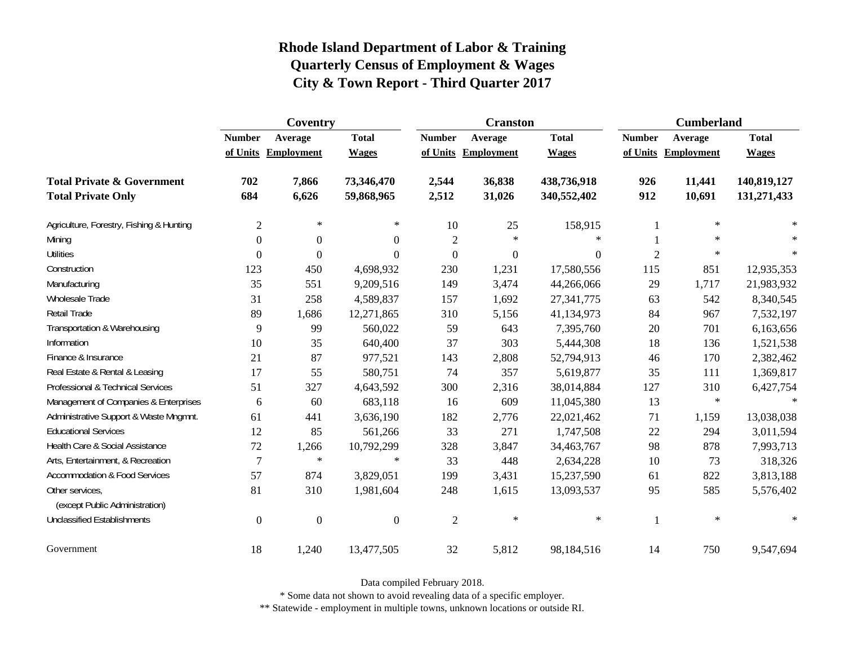|                                                   | Coventry         |                     |                  |                | <b>Cranston</b>     |                | <b>Cumberland</b> |                     |              |
|---------------------------------------------------|------------------|---------------------|------------------|----------------|---------------------|----------------|-------------------|---------------------|--------------|
|                                                   | <b>Number</b>    | Average             | <b>Total</b>     | <b>Number</b>  | Average             | <b>Total</b>   | <b>Number</b>     | Average             | <b>Total</b> |
|                                                   |                  | of Units Employment | <b>Wages</b>     |                | of Units Employment | <b>Wages</b>   |                   | of Units Employment | <b>Wages</b> |
| <b>Total Private &amp; Government</b>             | 702              | 7,866               | 73,346,470       | 2,544          | 36,838              | 438,736,918    | 926               | 11,441              | 140,819,127  |
| <b>Total Private Only</b>                         | 684              | 6,626               | 59,868,965       | 2,512          | 31,026              | 340,552,402    | 912               | 10,691              | 131,271,433  |
| Agriculture, Forestry, Fishing & Hunting          | $\overline{c}$   | $\ast$              | $\ast$           | 10             | 25                  | 158,915        |                   | $\ast$              |              |
| Mining                                            | $\theta$         | $\boldsymbol{0}$    | $\theta$         | $\overline{2}$ | $\ast$              | $\ast$         |                   | $\ast$              |              |
| <b>Utilities</b>                                  | $\boldsymbol{0}$ | $\theta$            | $\theta$         | $\overline{0}$ | $\boldsymbol{0}$    | $\overline{0}$ | $\mathfrak{2}$    | $\ast$              |              |
| Construction                                      | 123              | 450                 | 4,698,932        | 230            | 1,231               | 17,580,556     | 115               | 851                 | 12,935,353   |
| Manufacturing                                     | 35               | 551                 | 9,209,516        | 149            | 3,474               | 44,266,066     | 29                | 1,717               | 21,983,932   |
| Wholesale Trade                                   | 31               | 258                 | 4,589,837        | 157            | 1,692               | 27,341,775     | 63                | 542                 | 8,340,545    |
| Retail Trade                                      | 89               | 1,686               | 12,271,865       | 310            | 5,156               | 41,134,973     | 84                | 967                 | 7,532,197    |
| Transportation & Warehousing                      | 9                | 99                  | 560,022          | 59             | 643                 | 7,395,760      | 20                | 701                 | 6,163,656    |
| Information                                       | 10               | 35                  | 640,400          | 37             | 303                 | 5,444,308      | 18                | 136                 | 1,521,538    |
| Finance & Insurance                               | 21               | 87                  | 977,521          | 143            | 2,808               | 52,794,913     | 46                | 170                 | 2,382,462    |
| Real Estate & Rental & Leasing                    | 17               | 55                  | 580,751          | 74             | 357                 | 5,619,877      | 35                | 111                 | 1,369,817    |
| Professional & Technical Services                 | 51               | 327                 | 4,643,592        | 300            | 2,316               | 38,014,884     | 127               | 310                 | 6,427,754    |
| Management of Companies & Enterprises             | 6                | 60                  | 683,118          | 16             | 609                 | 11,045,380     | 13                | $\ast$              | $\ast$       |
| Administrative Support & Waste Mngmnt.            | 61               | 441                 | 3,636,190        | 182            | 2,776               | 22,021,462     | 71                | 1,159               | 13,038,038   |
| <b>Educational Services</b>                       | 12               | 85                  | 561,266          | 33             | 271                 | 1,747,508      | $22\,$            | 294                 | 3,011,594    |
| Health Care & Social Assistance                   | 72               | 1,266               | 10,792,299       | 328            | 3,847               | 34,463,767     | 98                | 878                 | 7,993,713    |
| Arts, Entertainment, & Recreation                 | 7                | $\ast$              | $\ast$           | 33             | 448                 | 2,634,228      | 10                | 73                  | 318,326      |
| <b>Accommodation &amp; Food Services</b>          | 57               | 874                 | 3,829,051        | 199            | 3,431               | 15,237,590     | 61                | 822                 | 3,813,188    |
| Other services,<br>(except Public Administration) | 81               | 310                 | 1,981,604        | 248            | 1,615               | 13,093,537     | 95                | 585                 | 5,576,402    |
| <b>Unclassified Establishments</b>                | $\overline{0}$   | $\boldsymbol{0}$    | $\boldsymbol{0}$ | $\overline{2}$ | $\ast$              | $\ast$         |                   | $\ast$              | $\ast$       |
| Government                                        | 18               | 1,240               | 13,477,505       | 32             | 5,812               | 98,184,516     | 14                | 750                 | 9,547,694    |

Data compiled February 2018.

\* Some data not shown to avoid revealing data of a specific employer.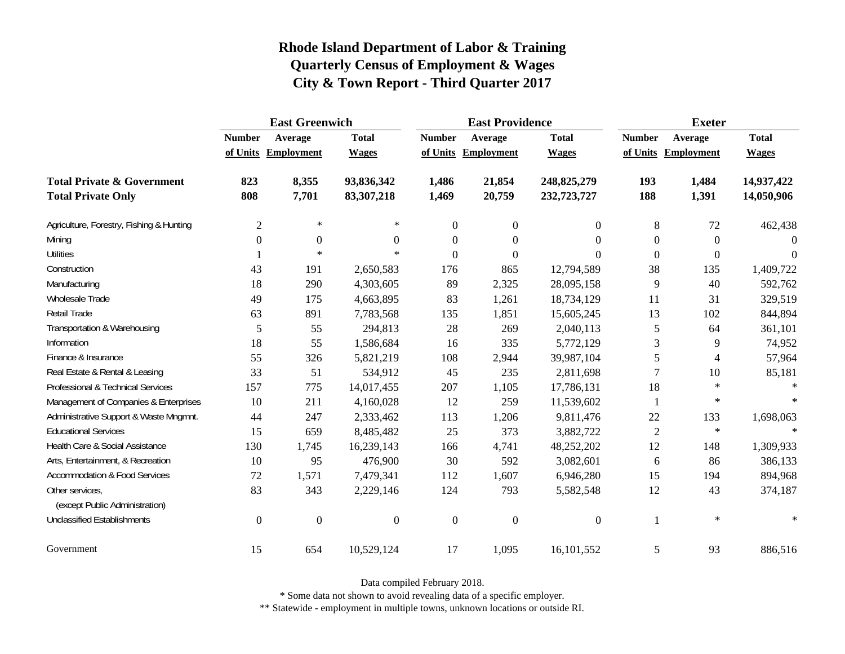|                                                   | <b>East Greenwich</b> |                     |                  |                  | <b>East Providence</b> |                | <b>Exeter</b>    |                     |              |
|---------------------------------------------------|-----------------------|---------------------|------------------|------------------|------------------------|----------------|------------------|---------------------|--------------|
|                                                   | <b>Number</b>         | Average             | <b>Total</b>     | <b>Number</b>    | Average                | <b>Total</b>   | <b>Number</b>    | Average             | <b>Total</b> |
|                                                   |                       | of Units Employment | <b>Wages</b>     |                  | of Units Employment    | <b>Wages</b>   |                  | of Units Employment | <b>Wages</b> |
| <b>Total Private &amp; Government</b>             | 823                   | 8,355               | 93,836,342       | 1,486            | 21,854                 | 248,825,279    | 193              | 1,484               | 14,937,422   |
| <b>Total Private Only</b>                         | 808                   | 7,701               | 83,307,218       | 1,469            | 20,759                 | 232,723,727    | 188              | 1,391               | 14,050,906   |
| Agriculture, Forestry, Fishing & Hunting          | $\overline{2}$        | $\ast$              | $*$              | $\overline{0}$   | $\boldsymbol{0}$       | $\Omega$       | 8                | 72                  | 462,438      |
| Mining                                            | $\theta$              | $\boldsymbol{0}$    | $\boldsymbol{0}$ | $\overline{0}$   | $\boldsymbol{0}$       | $\theta$       | $\boldsymbol{0}$ | $\boldsymbol{0}$    | $\Omega$     |
| <b>Utilities</b>                                  |                       | $\ast$              | $\ast$           | $\theta$         | $\boldsymbol{0}$       | $\Omega$       | $\boldsymbol{0}$ | $\boldsymbol{0}$    | $\Omega$     |
| Construction                                      | 43                    | 191                 | 2,650,583        | 176              | 865                    | 12,794,589     | 38               | 135                 | 1,409,722    |
| Manufacturing                                     | 18                    | 290                 | 4,303,605        | 89               | 2,325                  | 28,095,158     | 9                | 40                  | 592,762      |
| Wholesale Trade                                   | 49                    | 175                 | 4,663,895        | 83               | 1,261                  | 18,734,129     | 11               | 31                  | 329,519      |
| Retail Trade                                      | 63                    | 891                 | 7,783,568        | 135              | 1,851                  | 15,605,245     | 13               | 102                 | 844,894      |
| Transportation & Warehousing                      | 5                     | 55                  | 294,813          | 28               | 269                    | 2,040,113      | 5                | 64                  | 361,101      |
| Information                                       | 18                    | 55                  | 1,586,684        | 16               | 335                    | 5,772,129      | 3                | 9                   | 74,952       |
| Finance & Insurance                               | 55                    | 326                 | 5,821,219        | 108              | 2,944                  | 39,987,104     | $\mathfrak s$    | 4                   | 57,964       |
| Real Estate & Rental & Leasing                    | 33                    | 51                  | 534,912          | 45               | 235                    | 2,811,698      | $\overline{7}$   | 10                  | 85,181       |
| Professional & Technical Services                 | 157                   | 775                 | 14,017,455       | 207              | 1,105                  | 17,786,131     | 18               | $\ast$              |              |
| Management of Companies & Enterprises             | 10                    | 211                 | 4,160,028        | 12               | 259                    | 11,539,602     | $\mathbf{1}$     | $\ast$              |              |
| Administrative Support & Waste Mngmnt.            | 44                    | 247                 | 2,333,462        | 113              | 1,206                  | 9,811,476      | 22               | 133                 | 1,698,063    |
| <b>Educational Services</b>                       | 15                    | 659                 | 8,485,482        | 25               | 373                    | 3,882,722      | $\overline{2}$   | $\ast$              |              |
| Health Care & Social Assistance                   | 130                   | 1,745               | 16,239,143       | 166              | 4,741                  | 48,252,202     | 12               | 148                 | 1,309,933    |
| Arts, Entertainment, & Recreation                 | 10                    | 95                  | 476,900          | 30               | 592                    | 3,082,601      | $6\,$            | 86                  | 386,133      |
| <b>Accommodation &amp; Food Services</b>          | 72                    | 1,571               | 7,479,341        | 112              | 1,607                  | 6,946,280      | 15               | 194                 | 894,968      |
| Other services,<br>(except Public Administration) | 83                    | 343                 | 2,229,146        | 124              | 793                    | 5,582,548      | 12               | 43                  | 374,187      |
| <b>Unclassified Establishments</b>                | $\overline{0}$        | $\boldsymbol{0}$    | $\boldsymbol{0}$ | $\boldsymbol{0}$ | $\boldsymbol{0}$       | $\overline{0}$ |                  | $\ast$              | $\ast$       |
| Government                                        | 15                    | 654                 | 10,529,124       | 17               | 1,095                  | 16,101,552     | 5                | 93                  | 886,516      |

Data compiled February 2018.

\* Some data not shown to avoid revealing data of a specific employer.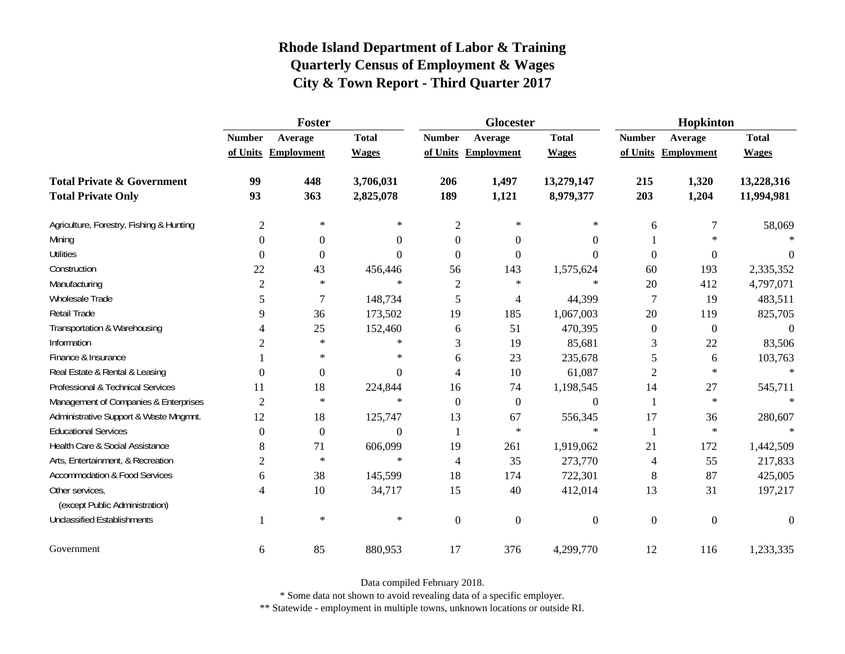|                                                   | Foster           |                     |              |                | <b>Glocester</b>  |                  | Hopkinton        |                     |                |
|---------------------------------------------------|------------------|---------------------|--------------|----------------|-------------------|------------------|------------------|---------------------|----------------|
|                                                   | <b>Number</b>    | Average             | <b>Total</b> | <b>Number</b>  | Average           | <b>Total</b>     | <b>Number</b>    | Average             | <b>Total</b>   |
|                                                   |                  | of Units Employment | <b>Wages</b> | of Units       | <b>Employment</b> | <b>Wages</b>     |                  | of Units Employment | <b>Wages</b>   |
| <b>Total Private &amp; Government</b>             | 99               | 448                 | 3,706,031    | 206            | 1,497             | 13,279,147       | 215              | 1,320               | 13,228,316     |
| <b>Total Private Only</b>                         | 93               | 363                 | 2,825,078    | 189            | 1,121             | 8,979,377        | 203              | 1,204               | 11,994,981     |
| Agriculture, Forestry, Fishing & Hunting          | $\mathfrak{2}$   | $\ast$              | $\ast$       | $\mathbf{2}$   | $\star$           | $\ast$           | 6                | $\tau$              | 58,069         |
| Mining                                            | $\Omega$         | $\boldsymbol{0}$    | $\Omega$     | $\theta$       | $\theta$          | $\Omega$         |                  | $\ast$              |                |
| <b>Utilities</b>                                  | $\Omega$         | $\overline{0}$      | $\Omega$     | $\Omega$       | $\theta$          | $\Omega$         | $\boldsymbol{0}$ | $\overline{0}$      | $\theta$       |
| Construction                                      | 22               | 43                  | 456,446      | 56             | 143               | 1,575,624        | 60               | 193                 | 2,335,352      |
| Manufacturing                                     | $\overline{2}$   | $\ast$              | $\ast$       | $\overline{2}$ | $\ast$            | $\ast$           | 20               | 412                 | 4,797,071      |
| Wholesale Trade                                   | 5                | $\overline{7}$      | 148,734      | 5              | 4                 | 44,399           | $\overline{7}$   | 19                  | 483,511        |
| Retail Trade                                      | 9                | 36                  | 173,502      | 19             | 185               | 1,067,003        | 20               | 119                 | 825,705        |
| Transportation & Warehousing                      | 4                | 25                  | 152,460      | 6              | 51                | 470,395          | $\boldsymbol{0}$ | $\boldsymbol{0}$    | $\overline{0}$ |
| Information                                       | 2                | $\ast$              | $\ast$       | 3              | 19                | 85,681           | 3                | 22                  | 83,506         |
| Finance & Insurance                               |                  | *                   | $\ast$       | 6              | 23                | 235,678          | 5                | 6                   | 103,763        |
| Real Estate & Rental & Leasing                    | $\theta$         | $\boldsymbol{0}$    | $\Omega$     | 4              | 10                | 61,087           | $\mathfrak{2}$   | $\ast$              | $\ast$         |
| Professional & Technical Services                 | 11               | 18                  | 224,844      | 16             | 74                | 1,198,545        | 14               | $27\,$              | 545,711        |
| Management of Companies & Enterprises             | $\overline{2}$   | $\ast$              | $\ast$       | $\theta$       | $\overline{0}$    | $\overline{0}$   | $\mathbf{1}$     | $\ast$              | $\ast$         |
| Administrative Support & Waste Mngmnt.            | 12               | 18                  | 125,747      | 13             | 67                | 556,345          | 17               | 36                  | 280,607        |
| <b>Educational Services</b>                       | $\boldsymbol{0}$ | $\overline{0}$      | $\Omega$     | -1             | $\star$           | $\ast$           | $\mathbf{1}$     | $\ast$              |                |
| Health Care & Social Assistance                   | 8                | 71                  | 606,099      | 19             | 261               | 1,919,062        | 21               | 172                 | 1,442,509      |
| Arts, Entertainment, & Recreation                 | 2                | $\ast$              | $\star$      | $\overline{4}$ | 35                | 273,770          | $\overline{4}$   | 55                  | 217,833        |
| Accommodation & Food Services                     | 6                | 38                  | 145,599      | 18             | 174               | 722,301          | 8                | 87                  | 425,005        |
| Other services,<br>(except Public Administration) | 4                | 10                  | 34,717       | 15             | 40                | 412,014          | 13               | 31                  | 197,217        |
| <b>Unclassified Establishments</b>                | 1                | $\ast$              | $\ast$       | $\theta$       | $\theta$          | $\boldsymbol{0}$ | $\overline{0}$   | $\mathbf{0}$        | $\Omega$       |
| Government                                        | 6                | 85                  | 880,953      | 17             | 376               | 4,299,770        | 12               | 116                 | 1,233,335      |

Data compiled February 2018.

\* Some data not shown to avoid revealing data of a specific employer.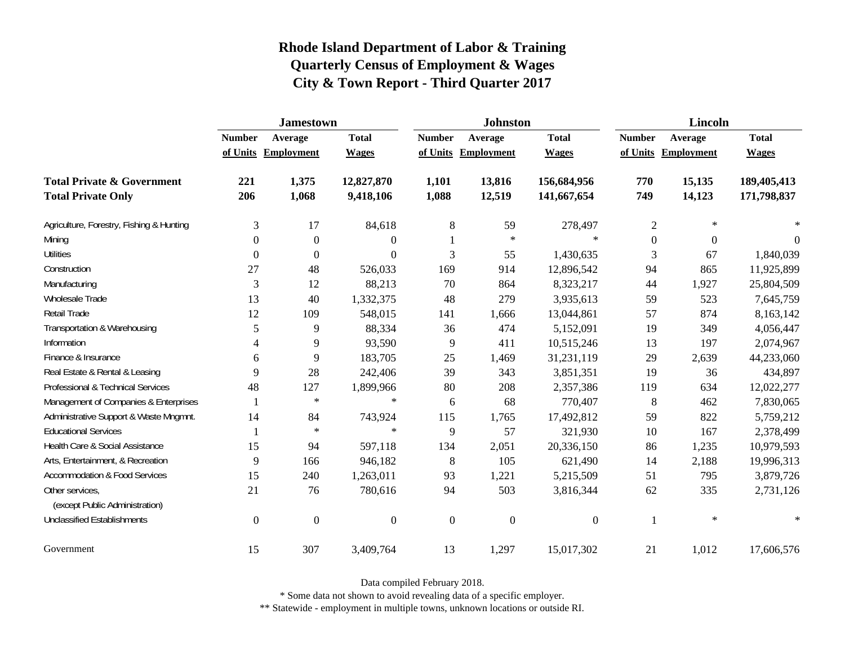|                                                   | <b>Jamestown</b> |                     |                  |                  | <b>Johnston</b>   |                  | <b>Lincoln</b>   |                     |              |
|---------------------------------------------------|------------------|---------------------|------------------|------------------|-------------------|------------------|------------------|---------------------|--------------|
|                                                   | <b>Number</b>    | Average             | <b>Total</b>     | <b>Number</b>    | Average           | <b>Total</b>     | <b>Number</b>    | Average             | <b>Total</b> |
|                                                   |                  | of Units Employment | <b>Wages</b>     | of Units         | <b>Employment</b> | <b>Wages</b>     |                  | of Units Employment | <b>Wages</b> |
| <b>Total Private &amp; Government</b>             | 221              | 1,375               | 12,827,870       | 1,101            | 13,816            | 156,684,956      | 770              | 15,135              | 189,405,413  |
| <b>Total Private Only</b>                         | 206              | 1,068               | 9,418,106        | 1,088            | 12,519            | 141,667,654      | 749              | 14,123              | 171,798,837  |
| Agriculture, Forestry, Fishing & Hunting          | 3                | 17                  | 84,618           | $\,8\,$          | 59                | 278,497          | $\boldsymbol{2}$ | $\ast$              |              |
| Mining                                            | $\Omega$         | $\mathbf{0}$        | $\boldsymbol{0}$ |                  | $\ast$            | $\star$          | $\boldsymbol{0}$ | $\overline{0}$      | $\Omega$     |
| <b>Utilities</b>                                  | $\Omega$         | $\mathbf{0}$        | $\boldsymbol{0}$ | 3                | 55                | 1,430,635        | 3                | 67                  | 1,840,039    |
| Construction                                      | 27               | 48                  | 526,033          | 169              | 914               | 12,896,542       | 94               | 865                 | 11,925,899   |
| Manufacturing                                     | 3                | 12                  | 88,213           | 70               | 864               | 8,323,217        | 44               | 1,927               | 25,804,509   |
| Wholesale Trade                                   | 13               | 40                  | 1,332,375        | 48               | 279               | 3,935,613        | 59               | 523                 | 7,645,759    |
| Retail Trade                                      | 12               | 109                 | 548,015          | 141              | 1,666             | 13,044,861       | 57               | 874                 | 8,163,142    |
| Transportation & Warehousing                      | 5                | 9                   | 88,334           | 36               | 474               | 5,152,091        | 19               | 349                 | 4,056,447    |
| Information                                       | 4                | 9                   | 93,590           | 9                | 411               | 10,515,246       | 13               | 197                 | 2,074,967    |
| Finance & Insurance                               | 6                | 9                   | 183,705          | 25               | 1,469             | 31,231,119       | 29               | 2,639               | 44,233,060   |
| Real Estate & Rental & Leasing                    | 9                | 28                  | 242,406          | 39               | 343               | 3,851,351        | 19               | 36                  | 434,897      |
| Professional & Technical Services                 | 48               | 127                 | 1,899,966        | 80               | 208               | 2,357,386        | 119              | 634                 | 12,022,277   |
| Management of Companies & Enterprises             |                  | $\ast$              | $\ast$           | 6                | 68                | 770,407          | $\,8\,$          | 462                 | 7,830,065    |
| Administrative Support & Waste Mngmnt.            | 14               | 84                  | 743,924          | 115              | 1,765             | 17,492,812       | 59               | 822                 | 5,759,212    |
| <b>Educational Services</b>                       |                  | $\ast$              | $\ast$           | 9                | 57                | 321,930          | 10               | 167                 | 2,378,499    |
| Health Care & Social Assistance                   | 15               | 94                  | 597,118          | 134              | 2,051             | 20,336,150       | 86               | 1,235               | 10,979,593   |
| Arts, Entertainment, & Recreation                 | 9                | 166                 | 946,182          | $8\phantom{1}$   | 105               | 621,490          | 14               | 2,188               | 19,996,313   |
| <b>Accommodation &amp; Food Services</b>          | 15               | 240                 | 1,263,011        | 93               | 1,221             | 5,215,509        | 51               | 795                 | 3,879,726    |
| Other services,<br>(except Public Administration) | 21               | 76                  | 780,616          | 94               | 503               | 3,816,344        | 62               | 335                 | 2,731,126    |
| <b>Unclassified Establishments</b>                | $\mathbf{0}$     | $\boldsymbol{0}$    | $\boldsymbol{0}$ | $\boldsymbol{0}$ | $\boldsymbol{0}$  | $\boldsymbol{0}$ |                  | $\ast$              | $\ast$       |
| Government                                        | 15               | 307                 | 3,409,764        | 13               | 1,297             | 15,017,302       | 21               | 1,012               | 17,606,576   |

Data compiled February 2018.

\* Some data not shown to avoid revealing data of a specific employer.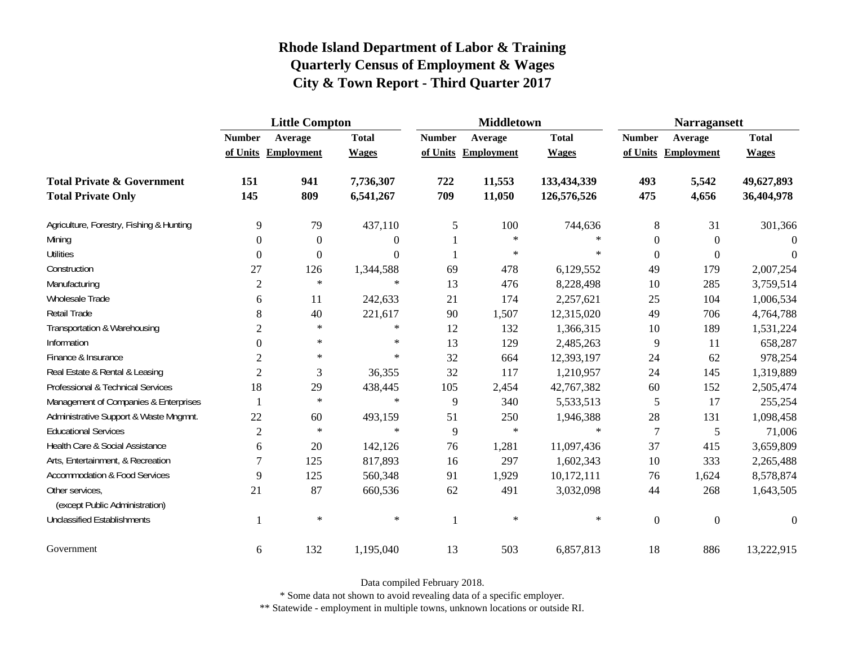|                                                   | <b>Little Compton</b> |                     |                  |               | <b>Middletown</b>   |              | <b>Narragansett</b> |                     |              |
|---------------------------------------------------|-----------------------|---------------------|------------------|---------------|---------------------|--------------|---------------------|---------------------|--------------|
|                                                   | <b>Number</b>         | Average             | <b>Total</b>     | <b>Number</b> | Average             | <b>Total</b> | <b>Number</b>       | Average             | <b>Total</b> |
|                                                   |                       | of Units Employment | <b>Wages</b>     |               | of Units Employment | <b>Wages</b> |                     | of Units Employment | <b>Wages</b> |
| <b>Total Private &amp; Government</b>             | 151                   | 941                 | 7,736,307        | 722           | 11,553              | 133,434,339  | 493                 | 5,542               | 49,627,893   |
| <b>Total Private Only</b>                         | 145                   | 809                 | 6,541,267        | 709           | 11,050              | 126,576,526  | 475                 | 4,656               | 36,404,978   |
| Agriculture, Forestry, Fishing & Hunting          | 9                     | 79                  | 437,110          | 5             | 100                 | 744,636      | $8\,$               | 31                  | 301,366      |
| Mining                                            | $\Omega$              | $\boldsymbol{0}$    | $\boldsymbol{0}$ |               | $\ast$              | $\ast$       | $\boldsymbol{0}$    | $\overline{0}$      | $\Omega$     |
| <b>Utilities</b>                                  | $\boldsymbol{0}$      | 0                   | $\Omega$         |               | $\ast$              | $\ast$       | $\overline{0}$      | $\overline{0}$      | $\Omega$     |
| Construction                                      | 27                    | 126                 | 1,344,588        | 69            | 478                 | 6,129,552    | 49                  | 179                 | 2,007,254    |
| Manufacturing                                     | $\overline{2}$        | $\ast$              | $\ast$           | 13            | 476                 | 8,228,498    | 10                  | 285                 | 3,759,514    |
| Wholesale Trade                                   | 6                     | 11                  | 242,633          | 21            | 174                 | 2,257,621    | 25                  | 104                 | 1,006,534    |
| <b>Retail Trade</b>                               | 8                     | 40                  | 221,617          | 90            | 1,507               | 12,315,020   | 49                  | 706                 | 4,764,788    |
| Transportation & Warehousing                      | $\sqrt{2}$            | $\ast$              | $\ast$           | 12            | 132                 | 1,366,315    | 10                  | 189                 | 1,531,224    |
| Information                                       | $\Omega$              | $\ast$              | $\ast$           | 13            | 129                 | 2,485,263    | 9                   | 11                  | 658,287      |
| Finance & Insurance                               | $\overline{2}$        | $\star$             | $\ast$           | 32            | 664                 | 12,393,197   | 24                  | 62                  | 978,254      |
| Real Estate & Rental & Leasing                    | $\overline{2}$        | 3                   | 36,355           | 32            | 117                 | 1,210,957    | 24                  | 145                 | 1,319,889    |
| Professional & Technical Services                 | 18                    | 29                  | 438,445          | 105           | 2,454               | 42,767,382   | 60                  | 152                 | 2,505,474    |
| Management of Companies & Enterprises             |                       | $\ast$              | $\ast$           | 9             | 340                 | 5,533,513    | 5                   | 17                  | 255,254      |
| Administrative Support & Waste Mngmnt.            | 22                    | 60                  | 493,159          | 51            | 250                 | 1,946,388    | 28                  | 131                 | 1,098,458    |
| <b>Educational Services</b>                       | $\overline{2}$        | $\star$             | $\ast$           | 9             | $\ast$              | $\ast$       | 7                   | 5                   | 71,006       |
| Health Care & Social Assistance                   | 6                     | 20                  | 142,126          | 76            | 1,281               | 11,097,436   | 37                  | 415                 | 3,659,809    |
| Arts, Entertainment, & Recreation                 | $\overline{7}$        | 125                 | 817,893          | 16            | 297                 | 1,602,343    | 10                  | 333                 | 2,265,488    |
| <b>Accommodation &amp; Food Services</b>          | 9                     | 125                 | 560,348          | 91            | 1,929               | 10,172,111   | 76                  | 1,624               | 8,578,874    |
| Other services,<br>(except Public Administration) | 21                    | 87                  | 660,536          | 62            | 491                 | 3,032,098    | 44                  | 268                 | 1,643,505    |
| <b>Unclassified Establishments</b>                |                       | $\ast$              | $\ast$           | 1             | $\ast$              | $\ast$       | $\boldsymbol{0}$    | $\overline{0}$      | $\theta$     |
| Government                                        | 6                     | 132                 | 1,195,040        | 13            | 503                 | 6,857,813    | 18                  | 886                 | 13,222,915   |

Data compiled February 2018.

\* Some data not shown to avoid revealing data of a specific employer.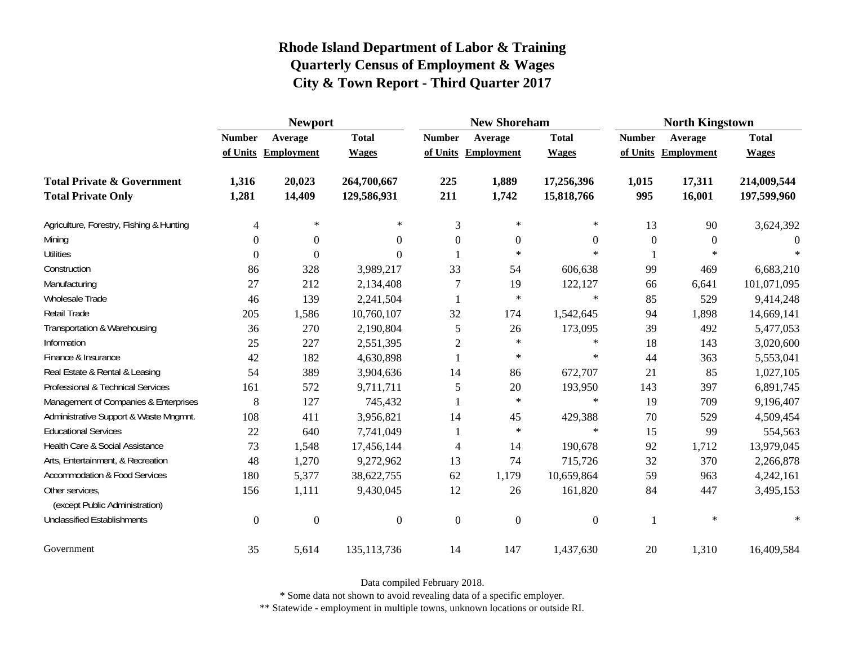|                                                   | <b>Newport</b> |                     |                |                | <b>New Shoreham</b> |                  | <b>North Kingstown</b> |                     |              |
|---------------------------------------------------|----------------|---------------------|----------------|----------------|---------------------|------------------|------------------------|---------------------|--------------|
|                                                   | <b>Number</b>  | Average             | <b>Total</b>   | <b>Number</b>  | Average             | <b>Total</b>     | <b>Number</b>          | Average             | <b>Total</b> |
|                                                   |                | of Units Employment | <b>Wages</b>   |                | of Units Employment | <b>Wages</b>     |                        | of Units Employment | <b>Wages</b> |
| <b>Total Private &amp; Government</b>             | 1,316          | 20,023              | 264,700,667    | 225            | 1,889               | 17,256,396       | 1,015                  | 17,311              | 214,009,544  |
| <b>Total Private Only</b>                         | 1,281          | 14,409              | 129,586,931    | 211            | 1,742               | 15,818,766       | 995                    | 16,001              | 197,599,960  |
| Agriculture, Forestry, Fishing & Hunting          | 4              | $\ast$              | $\ast$         | 3              | $\ast$              | $\ast$           | 13                     | 90                  | 3,624,392    |
| Mining                                            | $\Omega$       | $\Omega$            | $\Omega$       | $\theta$       | $\boldsymbol{0}$    | $\mathbf{0}$     | $\mathbf{0}$           | $\Omega$            | $\Omega$     |
| <b>Utilities</b>                                  | $\Omega$       | $\Omega$            | 0              |                | $\ast$              | $\ast$           |                        | ∗                   |              |
| Construction                                      | 86             | 328                 | 3,989,217      | 33             | 54                  | 606,638          | 99                     | 469                 | 6,683,210    |
| Manufacturing                                     | 27             | 212                 | 2,134,408      | $\overline{7}$ | 19                  | 122,127          | 66                     | 6,641               | 101,071,095  |
| Wholesale Trade                                   | 46             | 139                 | 2,241,504      |                | $\ast$              | $\star$          | 85                     | 529                 | 9,414,248    |
| Retail Trade                                      | 205            | 1,586               | 10,760,107     | 32             | 174                 | 1,542,645        | 94                     | 1,898               | 14,669,141   |
| Transportation & Warehousing                      | 36             | 270                 | 2,190,804      | 5              | 26                  | 173,095          | 39                     | 492                 | 5,477,053    |
| Information                                       | 25             | 227                 | 2,551,395      | $\overline{2}$ | $\ast$              | $\ast$           | 18                     | 143                 | 3,020,600    |
| Finance & Insurance                               | 42             | 182                 | 4,630,898      |                | $\ast$              | $\ast$           | 44                     | 363                 | 5,553,041    |
| Real Estate & Rental & Leasing                    | 54             | 389                 | 3,904,636      | 14             | 86                  | 672,707          | 21                     | 85                  | 1,027,105    |
| Professional & Technical Services                 | 161            | 572                 | 9,711,711      | 5              | 20                  | 193,950          | 143                    | 397                 | 6,891,745    |
| Management of Companies & Enterprises             | 8              | 127                 | 745,432        |                | $\ast$              | $\ast$           | 19                     | 709                 | 9,196,407    |
| Administrative Support & Waste Mngmnt.            | 108            | 411                 | 3,956,821      | 14             | 45                  | 429,388          | 70                     | 529                 | 4,509,454    |
| <b>Educational Services</b>                       | 22             | 640                 | 7,741,049      |                | $\ast$              | $\ast$           | 15                     | 99                  | 554,563      |
| Health Care & Social Assistance                   | 73             | 1,548               | 17,456,144     | $\overline{4}$ | 14                  | 190,678          | 92                     | 1,712               | 13,979,045   |
| Arts, Entertainment, & Recreation                 | 48             | 1,270               | 9,272,962      | 13             | 74                  | 715,726          | 32                     | 370                 | 2,266,878    |
| <b>Accommodation &amp; Food Services</b>          | 180            | 5,377               | 38,622,755     | 62             | 1,179               | 10,659,864       | 59                     | 963                 | 4,242,161    |
| Other services,<br>(except Public Administration) | 156            | 1,111               | 9,430,045      | 12             | 26                  | 161,820          | 84                     | 447                 | 3,495,153    |
| <b>Unclassified Establishments</b>                | $\overline{0}$ | $\mathbf{0}$        | $\overline{0}$ | $\mathbf{0}$   | $\boldsymbol{0}$    | $\boldsymbol{0}$ |                        | $\ast$              | $\ast$       |
| Government                                        | 35             | 5,614               | 135, 113, 736  | 14             | 147                 | 1,437,630        | $20\,$                 | 1,310               | 16,409,584   |

Data compiled February 2018.

\* Some data not shown to avoid revealing data of a specific employer.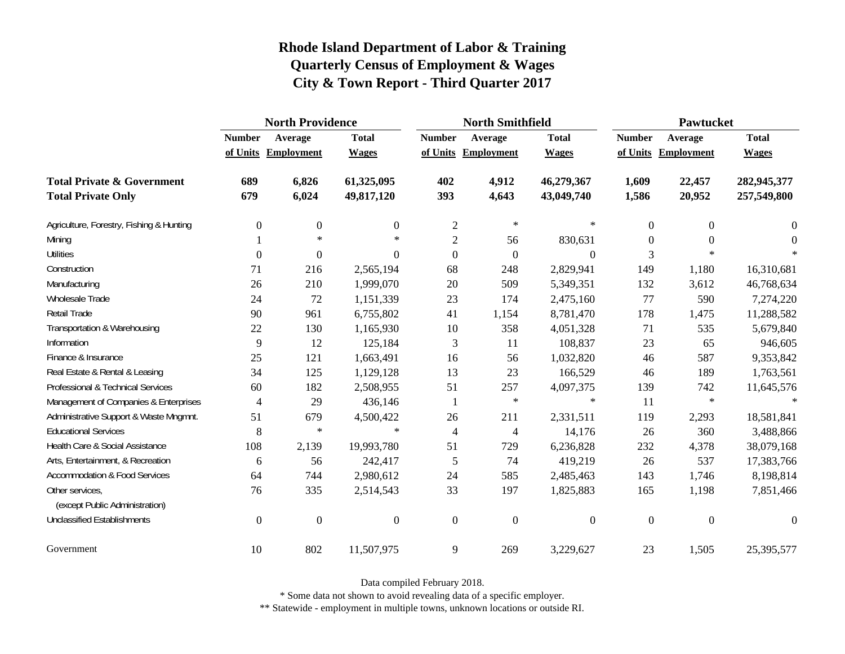|                                                   | <b>North Providence</b> |                     |                  |                  | <b>North Smithfield</b> |                  | <b>Pawtucket</b> |                     |                |
|---------------------------------------------------|-------------------------|---------------------|------------------|------------------|-------------------------|------------------|------------------|---------------------|----------------|
|                                                   | <b>Number</b>           | Average             | <b>Total</b>     | <b>Number</b>    | Average                 | <b>Total</b>     | <b>Number</b>    | Average             | <b>Total</b>   |
|                                                   |                         | of Units Employment | <b>Wages</b>     |                  | of Units Employment     | <b>Wages</b>     |                  | of Units Employment | <b>Wages</b>   |
| <b>Total Private &amp; Government</b>             | 689                     | 6,826               | 61,325,095       | 402              | 4,912                   | 46,279,367       | 1,609            | 22,457              | 282,945,377    |
| <b>Total Private Only</b>                         | 679                     | 6,024               | 49,817,120       | 393              | 4,643                   | 43,049,740       | 1,586            | 20,952              | 257,549,800    |
| Agriculture, Forestry, Fishing & Hunting          | $\boldsymbol{0}$        | $\boldsymbol{0}$    | $\boldsymbol{0}$ | $\overline{2}$   | $\ast$                  | $\ast$           | $\theta$         | $\theta$            | $\theta$       |
| Mining                                            |                         | $\star$             | $\ast$           | $\mathbf{2}$     | 56                      | 830,631          | $\Omega$         | $\Omega$            | $\theta$       |
| <b>Utilities</b>                                  | $\overline{0}$          | $\boldsymbol{0}$    | $\boldsymbol{0}$ | $\overline{0}$   | $\boldsymbol{0}$        | $\boldsymbol{0}$ | 3                | $\ast$              |                |
| Construction                                      | 71                      | 216                 | 2,565,194        | 68               | 248                     | 2,829,941        | 149              | 1,180               | 16,310,681     |
| Manufacturing                                     | 26                      | 210                 | 1,999,070        | 20               | 509                     | 5,349,351        | 132              | 3,612               | 46,768,634     |
| Wholesale Trade                                   | 24                      | 72                  | 1,151,339        | 23               | 174                     | 2,475,160        | 77               | 590                 | 7,274,220      |
| Retail Trade                                      | 90                      | 961                 | 6,755,802        | 41               | 1,154                   | 8,781,470        | 178              | 1,475               | 11,288,582     |
| Transportation & Warehousing                      | 22                      | 130                 | 1,165,930        | 10               | 358                     | 4,051,328        | 71               | 535                 | 5,679,840      |
| Information                                       | 9                       | 12                  | 125,184          | 3                | 11                      | 108,837          | 23               | 65                  | 946,605        |
| Finance & Insurance                               | 25                      | 121                 | 1,663,491        | 16               | 56                      | 1,032,820        | 46               | 587                 | 9,353,842      |
| Real Estate & Rental & Leasing                    | 34                      | 125                 | 1,129,128        | 13               | 23                      | 166,529          | 46               | 189                 | 1,763,561      |
| Professional & Technical Services                 | 60                      | 182                 | 2,508,955        | 51               | 257                     | 4,097,375        | 139              | 742                 | 11,645,576     |
| Management of Companies & Enterprises             | 4                       | 29                  | 436,146          | -1               | $\ast$                  | $\ast$           | 11               | $\ast$              | $\ast$         |
| Administrative Support & Waste Mngmnt.            | 51                      | 679                 | 4,500,422        | 26               | 211                     | 2,331,511        | 119              | 2,293               | 18,581,841     |
| <b>Educational Services</b>                       | 8                       | $\ast$              | $\ast$           | $\overline{4}$   | 4                       | 14,176           | 26               | 360                 | 3,488,866      |
| Health Care & Social Assistance                   | 108                     | 2,139               | 19,993,780       | 51               | 729                     | 6,236,828        | 232              | 4,378               | 38,079,168     |
| Arts, Entertainment, & Recreation                 | 6                       | 56                  | 242,417          | 5                | 74                      | 419,219          | 26               | 537                 | 17,383,766     |
| <b>Accommodation &amp; Food Services</b>          | 64                      | 744                 | 2,980,612        | 24               | 585                     | 2,485,463        | 143              | 1,746               | 8,198,814      |
| Other services,<br>(except Public Administration) | 76                      | 335                 | 2,514,543        | 33               | 197                     | 1,825,883        | 165              | 1,198               | 7,851,466      |
| <b>Unclassified Establishments</b>                | $\boldsymbol{0}$        | $\boldsymbol{0}$    | $\boldsymbol{0}$ | $\boldsymbol{0}$ | $\boldsymbol{0}$        | $\boldsymbol{0}$ | $\mathbf{0}$     | $\boldsymbol{0}$    | $\overline{0}$ |
| Government                                        | 10                      | 802                 | 11,507,975       | 9                | 269                     | 3,229,627        | 23               | 1,505               | 25,395,577     |

Data compiled February 2018.

\* Some data not shown to avoid revealing data of a specific employer.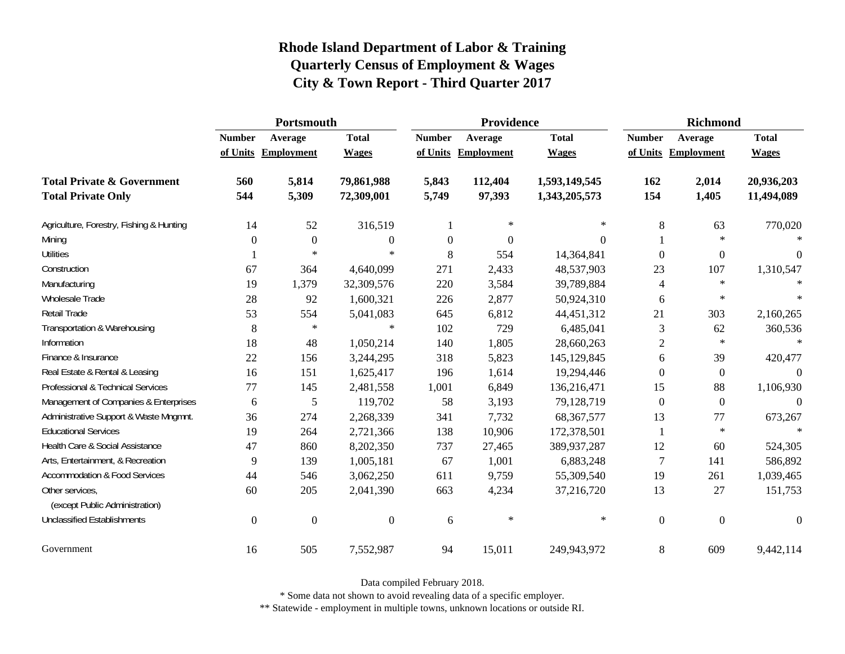|                                                   | Portsmouth     |                     |                  |               | Providence       |               | <b>Richmond</b>  |                     |                  |
|---------------------------------------------------|----------------|---------------------|------------------|---------------|------------------|---------------|------------------|---------------------|------------------|
|                                                   | <b>Number</b>  | Average             | <b>Total</b>     | <b>Number</b> | Average          | <b>Total</b>  | <b>Number</b>    | Average             | <b>Total</b>     |
|                                                   |                | of Units Employment | <b>Wages</b>     | of Units      | Employment       | <b>Wages</b>  |                  | of Units Employment | <b>Wages</b>     |
| <b>Total Private &amp; Government</b>             | 560            | 5,814               | 79,861,988       | 5,843         | 112,404          | 1,593,149,545 | 162              | 2,014               | 20,936,203       |
| <b>Total Private Only</b>                         | 544            | 5,309               | 72,309,001       | 5,749         | 97,393           | 1,343,205,573 | 154              | 1,405               | 11,494,089       |
| Agriculture, Forestry, Fishing & Hunting          | 14             | 52                  | 316,519          |               | $\ast$           | $\ast$        | 8                | 63                  | 770,020          |
| Mining                                            | $\Omega$       | $\boldsymbol{0}$    | $\boldsymbol{0}$ | 0             | $\boldsymbol{0}$ | $\Omega$      |                  | $\ast$              | $\ast$           |
| <b>Utilities</b>                                  |                | $\ast$              | $\ast$           | 8             | 554              | 14,364,841    | $\theta$         | $\boldsymbol{0}$    | $\boldsymbol{0}$ |
| Construction                                      | 67             | 364                 | 4,640,099        | 271           | 2,433            | 48,537,903    | 23               | 107                 | 1,310,547        |
| Manufacturing                                     | 19             | 1,379               | 32,309,576       | 220           | 3,584            | 39,789,884    | 4                | $\ast$              | $\ast$           |
| Wholesale Trade                                   | 28             | 92                  | 1,600,321        | 226           | 2,877            | 50,924,310    | 6                | $\ast$              | $\ast$           |
| <b>Retail Trade</b>                               | 53             | 554                 | 5,041,083        | 645           | 6,812            | 44,451,312    | 21               | 303                 | 2,160,265        |
| Transportation & Warehousing                      | 8              | $\ast$              | $\ast$           | 102           | 729              | 6,485,041     | 3                | 62                  | 360,536          |
| Information                                       | 18             | 48                  | 1,050,214        | 140           | 1,805            | 28,660,263    | $\overline{2}$   | $\ast$              | $\ast$           |
| Finance & Insurance                               | 22             | 156                 | 3,244,295        | 318           | 5,823            | 145,129,845   | 6                | 39                  | 420,477          |
| Real Estate & Rental & Leasing                    | 16             | 151                 | 1,625,417        | 196           | 1,614            | 19,294,446    | $\Omega$         | $\overline{0}$      | 0                |
| Professional & Technical Services                 | 77             | 145                 | 2,481,558        | 1,001         | 6,849            | 136,216,471   | 15               | 88                  | 1,106,930        |
| Management of Companies & Enterprises             | 6              | 5                   | 119,702          | 58            | 3,193            | 79,128,719    | $\overline{0}$   | $\boldsymbol{0}$    | $\Omega$         |
| Administrative Support & Waste Mngmnt.            | 36             | 274                 | 2,268,339        | 341           | 7,732            | 68, 367, 577  | 13               | 77                  | 673,267          |
| <b>Educational Services</b>                       | 19             | 264                 | 2,721,366        | 138           | 10,906           | 172,378,501   |                  | $\ast$              |                  |
| Health Care & Social Assistance                   | 47             | 860                 | 8,202,350        | 737           | 27,465           | 389,937,287   | 12               | 60                  | 524,305          |
| Arts, Entertainment, & Recreation                 | 9              | 139                 | 1,005,181        | 67            | 1,001            | 6,883,248     | $\overline{7}$   | 141                 | 586,892          |
| <b>Accommodation &amp; Food Services</b>          | 44             | 546                 | 3,062,250        | 611           | 9,759            | 55,309,540    | 19               | 261                 | 1,039,465        |
| Other services,<br>(except Public Administration) | 60             | 205                 | 2,041,390        | 663           | 4,234            | 37,216,720    | 13               | 27                  | 151,753          |
| <b>Unclassified Establishments</b>                | $\overline{0}$ | $\overline{0}$      | $\boldsymbol{0}$ | 6             | $\ast$           | $\ast$        | $\boldsymbol{0}$ | $\boldsymbol{0}$    | $\boldsymbol{0}$ |
| Government                                        | 16             | 505                 | 7,552,987        | 94            | 15,011           | 249,943,972   | 8                | 609                 | 9,442,114        |

Data compiled February 2018.

\* Some data not shown to avoid revealing data of a specific employer.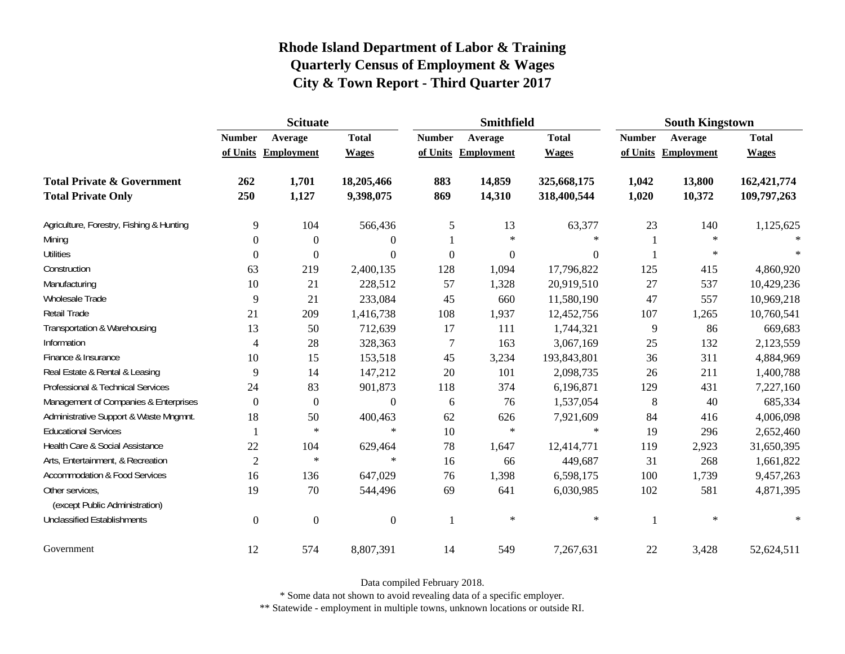|                                                   | <b>Scituate</b> |                     |                  |                  | <b>Smithfield</b> |                  | <b>South Kingstown</b> |            |              |
|---------------------------------------------------|-----------------|---------------------|------------------|------------------|-------------------|------------------|------------------------|------------|--------------|
|                                                   | <b>Number</b>   | Average             | <b>Total</b>     | <b>Number</b>    | Average           | <b>Total</b>     | <b>Number</b>          | Average    | <b>Total</b> |
|                                                   |                 | of Units Employment | <b>Wages</b>     | of Units         | Employment        | <b>Wages</b>     | of Units               | Employment | <b>Wages</b> |
| <b>Total Private &amp; Government</b>             | 262             | 1,701               | 18,205,466       | 883              | 14,859            | 325,668,175      | 1,042                  | 13,800     | 162,421,774  |
| <b>Total Private Only</b>                         | 250             | 1,127               | 9,398,075        | 869              | 14,310            | 318,400,544      | 1,020                  | 10,372     | 109,797,263  |
| Agriculture, Forestry, Fishing & Hunting          | 9               | 104                 | 566,436          | $\sqrt{5}$       | 13                | 63,377           | 23                     | 140        | 1,125,625    |
| Mining                                            | $\Omega$        | $\theta$            | $\overline{0}$   |                  | $\ast$            | $\ast$           |                        | $\ast$     |              |
| <b>Utilities</b>                                  | $\Omega$        | $\Omega$            | $\overline{0}$   | $\boldsymbol{0}$ | $\boldsymbol{0}$  | $\boldsymbol{0}$ |                        | $\ast$     | $\ast$       |
| Construction                                      | 63              | 219                 | 2,400,135        | 128              | 1,094             | 17,796,822       | 125                    | 415        | 4,860,920    |
| Manufacturing                                     | 10              | 21                  | 228,512          | 57               | 1,328             | 20,919,510       | 27                     | 537        | 10,429,236   |
| <b>Wholesale Trade</b>                            | 9               | 21                  | 233,084          | 45               | 660               | 11,580,190       | 47                     | 557        | 10,969,218   |
| Retail Trade                                      | 21              | 209                 | 1,416,738        | 108              | 1,937             | 12,452,756       | 107                    | 1,265      | 10,760,541   |
| Transportation & Warehousing                      | 13              | 50                  | 712,639          | 17               | 111               | 1,744,321        | 9                      | 86         | 669,683      |
| Information                                       | 4               | 28                  | 328,363          | $\overline{7}$   | 163               | 3,067,169        | 25                     | 132        | 2,123,559    |
| Finance & Insurance                               | 10              | 15                  | 153,518          | 45               | 3,234             | 193,843,801      | 36                     | 311        | 4,884,969    |
| Real Estate & Rental & Leasing                    | 9               | 14                  | 147,212          | 20               | 101               | 2,098,735        | 26                     | 211        | 1,400,788    |
| Professional & Technical Services                 | 24              | 83                  | 901,873          | 118              | 374               | 6,196,871        | 129                    | 431        | 7,227,160    |
| Management of Companies & Enterprises             | $\Omega$        | $\boldsymbol{0}$    | $\overline{0}$   | 6                | 76                | 1,537,054        | 8                      | 40         | 685,334      |
| Administrative Support & Waste Mngmnt.            | 18              | 50                  | 400,463          | 62               | 626               | 7,921,609        | 84                     | 416        | 4,006,098    |
| <b>Educational Services</b>                       |                 | $\star$             | $\ast$           | 10               | $\ast$            | $\ast$           | 19                     | 296        | 2,652,460    |
| Health Care & Social Assistance                   | 22              | 104                 | 629,464          | 78               | 1,647             | 12,414,771       | 119                    | 2,923      | 31,650,395   |
| Arts, Entertainment, & Recreation                 | $\overline{2}$  | $\ast$              | $\ast$           | 16               | 66                | 449,687          | 31                     | 268        | 1,661,822    |
| Accommodation & Food Services                     | 16              | 136                 | 647,029          | 76               | 1,398             | 6,598,175        | 100                    | 1,739      | 9,457,263    |
| Other services,<br>(except Public Administration) | 19              | 70                  | 544,496          | 69               | 641               | 6,030,985        | 102                    | 581        | 4,871,395    |
| <b>Unclassified Establishments</b>                | $\theta$        | $\theta$            | $\boldsymbol{0}$ | -1               | $\ast$            | $\ast$           | 1                      | $\ast$     | $\ast$       |
| Government                                        | 12              | 574                 | 8,807,391        | 14               | 549               | 7,267,631        | 22                     | 3,428      | 52,624,511   |

Data compiled February 2018.

\* Some data not shown to avoid revealing data of a specific employer.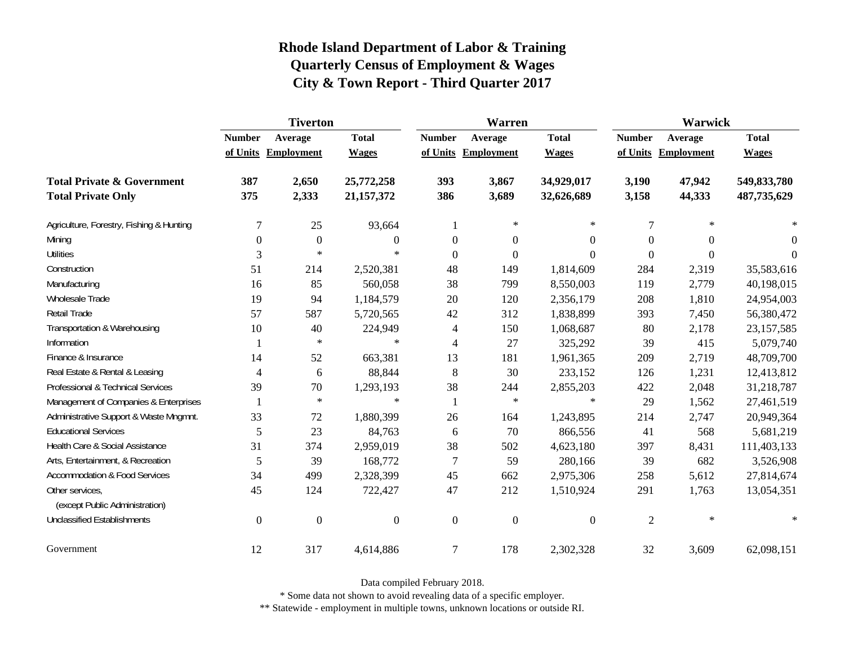|                                                   | <b>Tiverton</b>  |                     |                |                  | Warren              |                  | Warwick        |                     |              |  |
|---------------------------------------------------|------------------|---------------------|----------------|------------------|---------------------|------------------|----------------|---------------------|--------------|--|
|                                                   | <b>Number</b>    | Average             | <b>Total</b>   | <b>Number</b>    | Average             | <b>Total</b>     | <b>Number</b>  | Average             | <b>Total</b> |  |
|                                                   |                  | of Units Employment | <b>Wages</b>   |                  | of Units Employment | <b>Wages</b>     |                | of Units Employment | <b>Wages</b> |  |
| <b>Total Private &amp; Government</b>             | 387              | 2,650               | 25,772,258     | 393              | 3,867               | 34,929,017       | 3,190          | 47,942              | 549,833,780  |  |
| <b>Total Private Only</b>                         | 375              | 2,333               | 21, 157, 372   | 386              | 3,689               | 32,626,689       | 3,158          | 44,333              | 487,735,629  |  |
| Agriculture, Forestry, Fishing & Hunting          | $\overline{7}$   | 25                  | 93,664         | 1                | $\ast$              | $\ast$           | 7              | $\ast$              |              |  |
| Mining                                            | $\boldsymbol{0}$ | $\boldsymbol{0}$    | $\theta$       | $\boldsymbol{0}$ | $\boldsymbol{0}$    | $\boldsymbol{0}$ | $\Omega$       | $\Omega$            | $\theta$     |  |
| <b>Utilities</b>                                  | 3                | $\ast$              | $\ast$         | $\overline{0}$   | $\boldsymbol{0}$    | $\mathbf{0}$     | $\Omega$       | $\Omega$            | $\Omega$     |  |
| Construction                                      | 51               | 214                 | 2,520,381      | 48               | 149                 | 1,814,609        | 284            | 2,319               | 35,583,616   |  |
| Manufacturing                                     | 16               | 85                  | 560,058        | 38               | 799                 | 8,550,003        | 119            | 2,779               | 40,198,015   |  |
| Wholesale Trade                                   | 19               | 94                  | 1,184,579      | 20               | 120                 | 2,356,179        | 208            | 1,810               | 24,954,003   |  |
| Retail Trade                                      | 57               | 587                 | 5,720,565      | 42               | 312                 | 1,838,899        | 393            | 7,450               | 56,380,472   |  |
| Transportation & Warehousing                      | 10               | 40                  | 224,949        | $\overline{4}$   | 150                 | 1,068,687        | 80             | 2,178               | 23, 157, 585 |  |
| Information                                       |                  | $\ast$              | $\ast$         | $\overline{4}$   | 27                  | 325,292          | 39             | 415                 | 5,079,740    |  |
| Finance & Insurance                               | 14               | 52                  | 663,381        | 13               | 181                 | 1,961,365        | 209            | 2,719               | 48,709,700   |  |
| Real Estate & Rental & Leasing                    | 4                | 6                   | 88,844         | 8                | 30                  | 233,152          | 126            | 1,231               | 12,413,812   |  |
| Professional & Technical Services                 | 39               | 70                  | 1,293,193      | 38               | 244                 | 2,855,203        | 422            | 2,048               | 31,218,787   |  |
| Management of Companies & Enterprises             |                  | $\ast$              | $\ast$         | $\mathbf{1}$     | $\ast$              | $\ast$           | 29             | 1,562               | 27,461,519   |  |
| Administrative Support & Waste Mngmnt.            | 33               | 72                  | 1,880,399      | 26               | 164                 | 1,243,895        | 214            | 2,747               | 20,949,364   |  |
| <b>Educational Services</b>                       | 5                | 23                  | 84,763         | 6                | 70                  | 866,556          | 41             | 568                 | 5,681,219    |  |
| Health Care & Social Assistance                   | 31               | 374                 | 2,959,019      | 38               | 502                 | 4,623,180        | 397            | 8,431               | 111,403,133  |  |
| Arts, Entertainment, & Recreation                 | 5                | 39                  | 168,772        | $\tau$           | 59                  | 280,166          | 39             | 682                 | 3,526,908    |  |
| <b>Accommodation &amp; Food Services</b>          | 34               | 499                 | 2,328,399      | 45               | 662                 | 2,975,306        | 258            | 5,612               | 27,814,674   |  |
| Other services,<br>(except Public Administration) | 45               | 124                 | 722,427        | 47               | 212                 | 1,510,924        | 291            | 1,763               | 13,054,351   |  |
| <b>Unclassified Establishments</b>                | $\boldsymbol{0}$ | $\boldsymbol{0}$    | $\overline{0}$ | $\boldsymbol{0}$ | $\boldsymbol{0}$    | $\boldsymbol{0}$ | $\overline{2}$ | $\ast$              | $\ast$       |  |
| Government                                        | 12               | 317                 | 4,614,886      | $\boldsymbol{7}$ | 178                 | 2,302,328        | 32             | 3,609               | 62,098,151   |  |

Data compiled February 2018.

\* Some data not shown to avoid revealing data of a specific employer.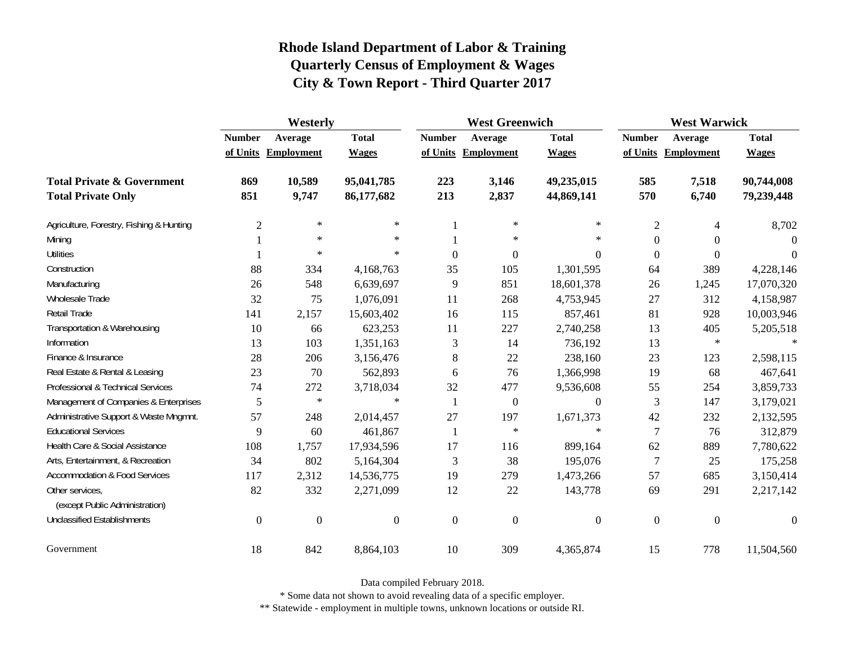|                                                   | Westerly         |                     |                  |                  | <b>West Greenwich</b> |                | <b>West Warwick</b> |                     |              |
|---------------------------------------------------|------------------|---------------------|------------------|------------------|-----------------------|----------------|---------------------|---------------------|--------------|
|                                                   | <b>Number</b>    | Average             | <b>Total</b>     | <b>Number</b>    | Average               | <b>Total</b>   | <b>Number</b>       | Average             | <b>Total</b> |
|                                                   |                  | of Units Employment | <b>Wages</b>     |                  | of Units Employment   | <b>Wages</b>   |                     | of Units Employment | <b>Wages</b> |
| <b>Total Private &amp; Government</b>             | 869              | 10,589              | 95,041,785       | 223              | 3,146                 | 49,235,015     | 585                 | 7,518               | 90,744,008   |
| <b>Total Private Only</b>                         | 851              | 9,747               | 86,177,682       | 213              | 2,837                 | 44,869,141     | 570                 | 6,740               | 79,239,448   |
| Agriculture, Forestry, Fishing & Hunting          | $\overline{2}$   | $\ast$              | $\ast$           |                  | $\ast$                | $\ast$         | $\overline{2}$      | 4                   | 8,702        |
| Mining                                            |                  | $\star$             | $\ast$           |                  | $\ast$                | $\star$        | $\boldsymbol{0}$    | $\overline{0}$      | $\Omega$     |
| <b>Utilities</b>                                  |                  | $\star$             | $\ast$           | $\boldsymbol{0}$ | $\boldsymbol{0}$      | $\theta$       | $\boldsymbol{0}$    | $\overline{0}$      | $\Omega$     |
| Construction                                      | 88               | 334                 | 4,168,763        | 35               | 105                   | 1,301,595      | 64                  | 389                 | 4,228,146    |
| Manufacturing                                     | 26               | 548                 | 6,639,697        | 9                | 851                   | 18,601,378     | 26                  | 1,245               | 17,070,320   |
| Wholesale Trade                                   | 32               | 75                  | 1,076,091        | 11               | 268                   | 4,753,945      | 27                  | 312                 | 4,158,987    |
| Retail Trade                                      | 141              | 2,157               | 15,603,402       | 16               | 115                   | 857,461        | 81                  | 928                 | 10,003,946   |
| Transportation & Warehousing                      | 10               | 66                  | 623,253          | 11               | 227                   | 2,740,258      | 13                  | 405                 | 5,205,518    |
| Information                                       | 13               | 103                 | 1,351,163        | 3                | 14                    | 736,192        | 13                  | $\ast$              |              |
| Finance & Insurance                               | 28               | 206                 | 3,156,476        | 8                | 22                    | 238,160        | 23                  | 123                 | 2,598,115    |
| Real Estate & Rental & Leasing                    | 23               | 70                  | 562,893          | 6                | 76                    | 1,366,998      | 19                  | 68                  | 467,641      |
| Professional & Technical Services                 | 74               | 272                 | 3,718,034        | 32               | 477                   | 9,536,608      | 55                  | 254                 | 3,859,733    |
| Management of Companies & Enterprises             | 5                | $\ast$              | $\ast$           | 1                | $\boldsymbol{0}$      | $\theta$       | 3                   | 147                 | 3,179,021    |
| Administrative Support & Waste Mngmnt.            | 57               | 248                 | 2,014,457        | 27               | 197                   | 1,671,373      | 42                  | 232                 | 2,132,595    |
| <b>Educational Services</b>                       | 9                | 60                  | 461,867          | 1                | $\ast$                | $\star$        | 7                   | 76                  | 312,879      |
| Health Care & Social Assistance                   | 108              | 1,757               | 17,934,596       | 17               | 116                   | 899,164        | 62                  | 889                 | 7,780,622    |
| Arts, Entertainment, & Recreation                 | 34               | 802                 | 5,164,304        | 3                | 38                    | 195,076        | 7                   | 25                  | 175,258      |
| <b>Accommodation &amp; Food Services</b>          | 117              | 2,312               | 14,536,775       | 19               | 279                   | 1,473,266      | 57                  | 685                 | 3,150,414    |
| Other services,<br>(except Public Administration) | 82               | 332                 | 2,271,099        | 12               | 22                    | 143,778        | 69                  | 291                 | 2,217,142    |
| <b>Unclassified Establishments</b>                | $\boldsymbol{0}$ | $\boldsymbol{0}$    | $\boldsymbol{0}$ | $\boldsymbol{0}$ | $\boldsymbol{0}$      | $\overline{0}$ | $\boldsymbol{0}$    | $\overline{0}$      | $\Omega$     |
| Government                                        | 18               | 842                 | 8,864,103        | 10               | 309                   | 4,365,874      | 15                  | 778                 | 11,504,560   |

Data compiled February 2018.

\* Some data not shown to avoid revealing data of a specific employer.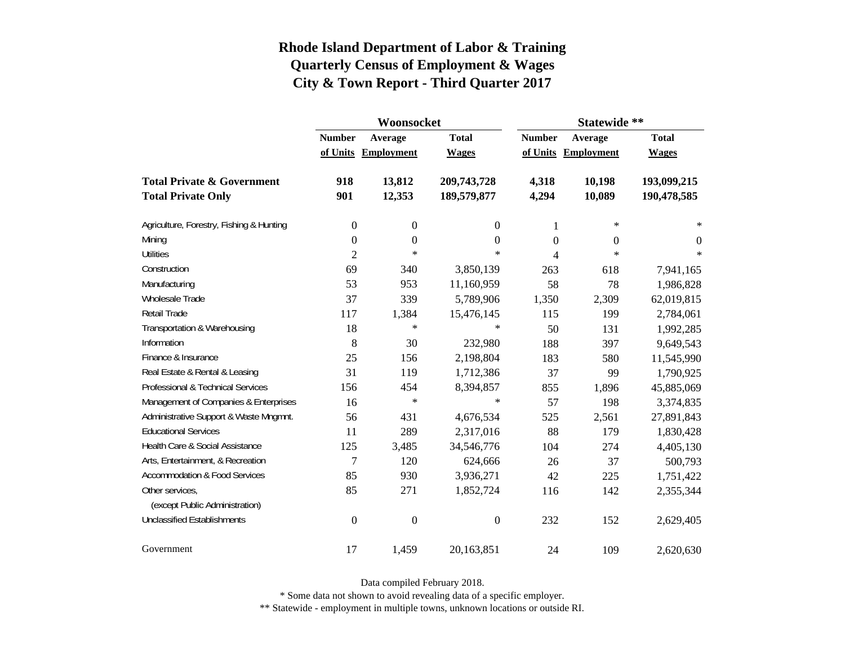|                                          |                  | Woonsocket        |                  | Statewide **  |                   |                |  |
|------------------------------------------|------------------|-------------------|------------------|---------------|-------------------|----------------|--|
|                                          | <b>Number</b>    | Average           | <b>Total</b>     | <b>Number</b> | Average           | <b>Total</b>   |  |
|                                          | of Units         | <b>Employment</b> | <b>Wages</b>     | of Units      | <b>Employment</b> | <b>Wages</b>   |  |
| <b>Total Private &amp; Government</b>    | 918              | 13,812            | 209,743,728      | 4,318         | 10,198            | 193,099,215    |  |
| <b>Total Private Only</b>                | 901              | 12,353            | 189,579,877      | 4,294         | 10,089            | 190,478,585    |  |
| Agriculture, Forestry, Fishing & Hunting | $\boldsymbol{0}$ | $\boldsymbol{0}$  | 0                | 1             | $\ast$            | $\ast$         |  |
| Mining                                   | $\boldsymbol{0}$ | $\boldsymbol{0}$  | 0                | $\Omega$      | 0                 | $\overline{0}$ |  |
| <b>Utilities</b>                         | $\overline{2}$   | $\ast$            | $\ast$           | 4             | $\ast$            | $\ast$         |  |
| Construction                             | 69               | 340               | 3,850,139        | 263           | 618               | 7,941,165      |  |
| Manufacturing                            | 53               | 953               | 11,160,959       | 58            | 78                | 1,986,828      |  |
| Wholesale Trade                          | 37               | 339               | 5,789,906        | 1,350         | 2,309             | 62,019,815     |  |
| Retail Trade                             | 117              | 1,384             | 15,476,145       | 115           | 199               | 2,784,061      |  |
| Transportation & Warehousing             | 18               | $\ast$            | $\ast$           | 50            | 131               | 1,992,285      |  |
| Information                              | 8                | 30                | 232,980          | 188           | 397               | 9,649,543      |  |
| Finance & Insurance                      | 25               | 156               | 2,198,804        | 183           | 580               | 11,545,990     |  |
| Real Estate & Rental & Leasing           | 31               | 119               | 1,712,386        | 37            | 99                | 1,790,925      |  |
| Professional & Technical Services        | 156              | 454               | 8,394,857        | 855           | 1,896             | 45,885,069     |  |
| Management of Companies & Enterprises    | 16               | $\ast$            | $\ast$           | 57            | 198               | 3,374,835      |  |
| Administrative Support & Waste Mngmnt.   | 56               | 431               | 4,676,534        | 525           | 2,561             | 27,891,843     |  |
| <b>Educational Services</b>              | 11               | 289               | 2,317,016        | 88            | 179               | 1,830,428      |  |
| Health Care & Social Assistance          | 125              | 3,485             | 34,546,776       | 104           | 274               | 4,405,130      |  |
| Arts, Entertainment, & Recreation        | $\overline{7}$   | 120               | 624,666          | 26            | 37                | 500,793        |  |
| <b>Accommodation &amp; Food Services</b> | 85               | 930               | 3,936,271        | 42            | 225               | 1,751,422      |  |
| Other services,                          | 85               | 271               | 1,852,724        | 116           | 142               | 2,355,344      |  |
| (except Public Administration)           |                  |                   |                  |               |                   |                |  |
| <b>Unclassified Establishments</b>       | $\boldsymbol{0}$ | $\boldsymbol{0}$  | $\boldsymbol{0}$ | 232           | 152               | 2,629,405      |  |
| Government                               | 17               | 1,459             | 20,163,851       | 24            | 109               | 2,620,630      |  |

Data compiled February 2018.

\* Some data not shown to avoid revealing data of a specific employer.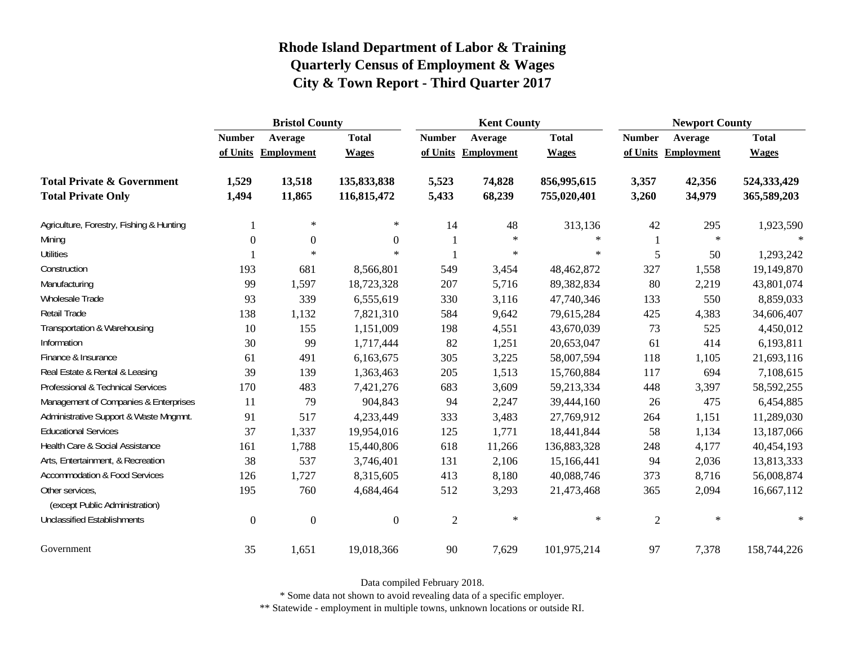|                                                   | <b>Bristol County</b> |                     |                  |                | <b>Kent County</b>  |              | <b>Newport County</b> |                     |              |
|---------------------------------------------------|-----------------------|---------------------|------------------|----------------|---------------------|--------------|-----------------------|---------------------|--------------|
|                                                   | <b>Number</b>         | Average             | <b>Total</b>     | <b>Number</b>  | Average             | <b>Total</b> | <b>Number</b>         | Average             | <b>Total</b> |
|                                                   |                       | of Units Employment | <b>Wages</b>     |                | of Units Employment | <b>Wages</b> |                       | of Units Employment | <b>Wages</b> |
| <b>Total Private &amp; Government</b>             | 1,529                 | 13,518              | 135,833,838      | 5,523          | 74,828              | 856,995,615  | 3,357                 | 42,356              | 524,333,429  |
| <b>Total Private Only</b>                         | 1,494                 | 11,865              | 116,815,472      | 5,433          | 68,239              | 755,020,401  | 3,260                 | 34,979              | 365,589,203  |
| Agriculture, Forestry, Fishing & Hunting          |                       | $\ast$              | $\ast$           | 14             | 48                  | 313,136      | 42                    | 295                 | 1,923,590    |
| Mining                                            | $\boldsymbol{0}$      | $\boldsymbol{0}$    | $\theta$         |                | $\ast$              | $\ast$       |                       | $\ast$              | $\ast$       |
| <b>Utilities</b>                                  |                       | $\ast$              | $\ast$           |                | $\star$             | $\star$      | 5                     | 50                  | 1,293,242    |
| Construction                                      | 193                   | 681                 | 8,566,801        | 549            | 3,454               | 48,462,872   | 327                   | 1,558               | 19,149,870   |
| Manufacturing                                     | 99                    | 1,597               | 18,723,328       | 207            | 5,716               | 89,382,834   | 80                    | 2,219               | 43,801,074   |
| Wholesale Trade                                   | 93                    | 339                 | 6,555,619        | 330            | 3,116               | 47,740,346   | 133                   | 550                 | 8,859,033    |
| <b>Retail Trade</b>                               | 138                   | 1,132               | 7,821,310        | 584            | 9,642               | 79,615,284   | 425                   | 4,383               | 34,606,407   |
| Transportation & Warehousing                      | 10                    | 155                 | 1,151,009        | 198            | 4,551               | 43,670,039   | 73                    | 525                 | 4,450,012    |
| Information                                       | 30                    | 99                  | 1,717,444        | 82             | 1,251               | 20,653,047   | 61                    | 414                 | 6,193,811    |
| Finance & Insurance                               | 61                    | 491                 | 6,163,675        | 305            | 3,225               | 58,007,594   | 118                   | 1,105               | 21,693,116   |
| Real Estate & Rental & Leasing                    | 39                    | 139                 | 1,363,463        | 205            | 1,513               | 15,760,884   | 117                   | 694                 | 7,108,615    |
| Professional & Technical Services                 | 170                   | 483                 | 7,421,276        | 683            | 3,609               | 59,213,334   | 448                   | 3,397               | 58,592,255   |
| Management of Companies & Enterprises             | 11                    | 79                  | 904,843          | 94             | 2,247               | 39,444,160   | 26                    | 475                 | 6,454,885    |
| Administrative Support & Waste Mngmnt.            | 91                    | 517                 | 4,233,449        | 333            | 3,483               | 27,769,912   | 264                   | 1,151               | 11,289,030   |
| <b>Educational Services</b>                       | 37                    | 1,337               | 19,954,016       | 125            | 1,771               | 18,441,844   | 58                    | 1,134               | 13,187,066   |
| Health Care & Social Assistance                   | 161                   | 1,788               | 15,440,806       | 618            | 11,266              | 136,883,328  | 248                   | 4,177               | 40,454,193   |
| Arts, Entertainment, & Recreation                 | 38                    | 537                 | 3,746,401        | 131            | 2,106               | 15,166,441   | 94                    | 2,036               | 13,813,333   |
| <b>Accommodation &amp; Food Services</b>          | 126                   | 1,727               | 8,315,605        | 413            | 8,180               | 40,088,746   | 373                   | 8,716               | 56,008,874   |
| Other services,<br>(except Public Administration) | 195                   | 760                 | 4,684,464        | 512            | 3,293               | 21,473,468   | 365                   | 2,094               | 16,667,112   |
| <b>Unclassified Establishments</b>                | $\boldsymbol{0}$      | $\boldsymbol{0}$    | $\boldsymbol{0}$ | $\mathfrak{2}$ | $\ast$              | $\ast$       | $\sqrt{2}$            | $\ast$              | $\ast$       |
| Government                                        | 35                    | 1,651               | 19,018,366       | 90             | 7,629               | 101,975,214  | 97                    | 7,378               | 158,744,226  |

Data compiled February 2018.

\* Some data not shown to avoid revealing data of a specific employer.